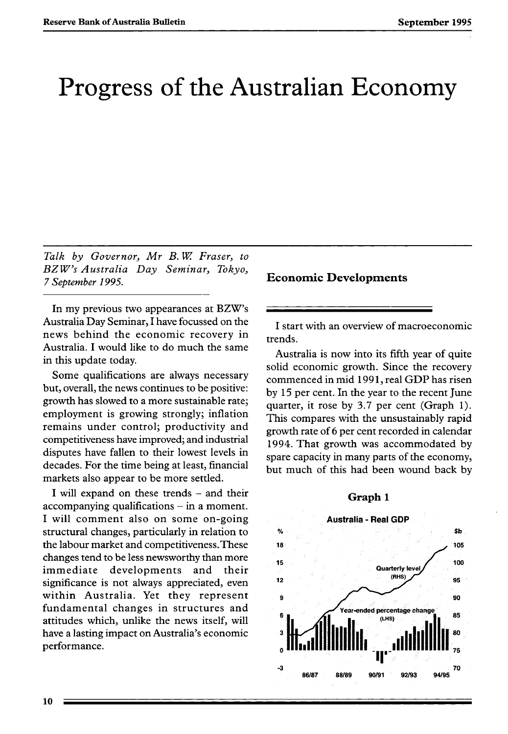# Progress of the Australian Economy

*Talk by Governor, Mr B. W Fraser, to BZW's Australia Day Seminar, Tokyo, 7 September 1995.* 

In my previous two appearances at BZW's Australia Day Seminar, I have focussed on the news behind the economic recovery in Australia. I would like to do much the same in this update today.

Some qualifications are always necessary but, overall, the news continues to be positive: growth has slowed to a more sustainable rate; employment is growing strongly; inflation remains under control; productivity and competitiveness have improved; and industrial disputes have fallen to their lowest levels in decades. For the time being at least, financial markets also appear to be more settled.

I will expand on these trends - and their  $accompanying$  qualifications  $-$  in a moment. I will comment also on some on-going structural changes, particularly in relation to the labour market and competitiveness.These changes tend to be less newsworthy than more immediate developments and their significance is not always appreciated, even within Australia. Yet they represent fundamental changes in structures and attitudes which, unlike the news itself, will have a lasting impact on Australia's economic performance.

**Economic Developments** 

I start with an overview of macroeconomic trends.

Australia is now into its fifth year of quite solid economic growth. Since the recovery commenced in mid 1991, real GDP has risen by 15 per cent. In the year to the recent June quarter, it rose by 3.7 per cent (Graph 1). This compares with the unsustainably rapid growth rate of 6 per cent recorded in calendar 1994. That growth was accommodated by spare capacity in many parts of the economy, but much of this had been wound back by

#### **Graph 1**

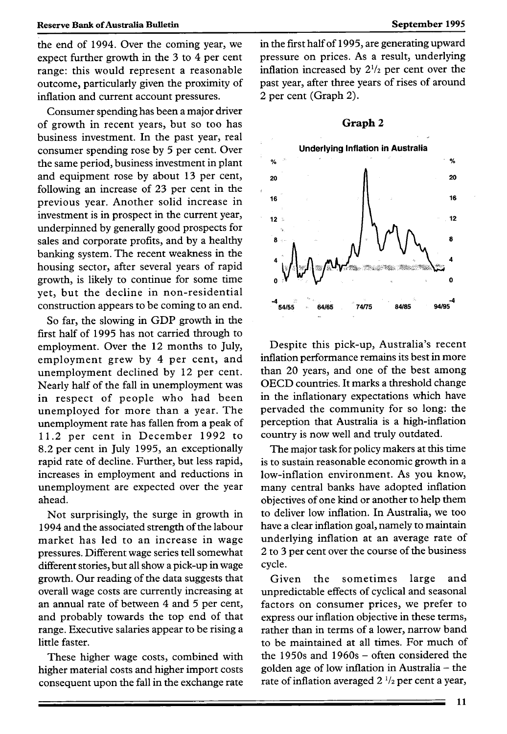## **Reserve Bank of Australia Bulletin** *September 1995* **<b>September 1995**

the end of 1994. Over the coming year, we expect further growth in the 3 to 4 per cent range: this would represent a reasonable outcome, particularly given the proximity of inflation and current account pressures.

Consumer spending has been a major driver of growth in recent years, but so too has business investment. In the past year, real consumer spending rose by 5 per cent. Over the same period, business investment in plant and equipment rose by about 13 per cent, following an increase of 23 per cent in the previous year. Another solid increase in investment is in prospect in the current year, underpinned by generally good prospects for sales and corporate profits, and by a healthy banking system. The recent weakness in the housing sector, after several years of rapid growth, is likely to continue for some time yet, but the decline in non-residential construction appears to be coming to an end.

So far, the slowing in GDP growth in the first half of 1995 has not carried through to employment. Over the 12 months to July, employment grew by 4 per cent, and unemployment declined by 12 per cent. Nearly half of the fall in unemployment was in respect of people who had been unemployed for more than a year. The unemployment rate has fallen from a peak of 11.2 per cent in December 1992 to 8.2 per cent in July 1995, an exceptionally rapid rate of decline. Further, but less rapid, increases in employment and reductions in unemployment are expected over the year ahead.

Not surprisingly, the surge in growth in 1994 and the associated strength of the labour market has led to an increase in wage pressures. Different wage series tell somewhat different stories, but all show a pick-up in wage growth. Our reading of the data suggests that overall wage costs are currently increasing at an annual rate of between 4 and 5 per cent, and probably towards the top end of that range. Executive salaries appear to be rising a little faster.

These higher wage costs, combined with higher material costs and higher import costs consequent upon the fall in the exchange rate in the first half of 1995, are generating upward pressure on prices. As a result, underlying inflation increased by  $2^{1/2}$  per cent over the past year, after three years of rises of around 2 per cent (Graph 2).

## **Graph** <sup>2</sup>



Despite this pick-up, Australia's recent inflation performance remains its best in more than 20 years, and one of the best among OECD countries. It marks a threshold change in the inflationary expectations which have pervaded the community for so long: the perception that Australia is a high-inflation country is now well and truly outdated.

The major task for policy makers at this time is to sustain reasonable economic growth in a low-inflation environment. As you know, many central banks have adopted inflation objectives of one kind or another to help them to deliver low inflation. In Australia, we too have a clear inflation goal, namely to maintain underlying inflation at an average rate of 2 to 3 per cent over the course of the business cycle.

Given the sometimes large and unpredictable effects of cyclical and seasonal factors on consumer prices, we prefer to express our inflation objective in these terms, rather than in terms of a lower, narrow band to be maintained at all times. For much of the 1950s and 1960s – often considered the golden age of low inflation in Australia - the rate of inflation averaged  $2 \frac{1}{2}$  per cent a year,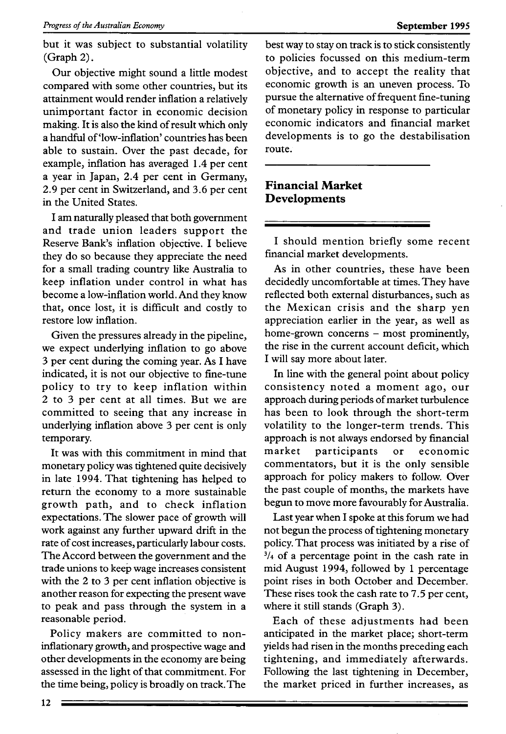but it was subject to substantial volatility (Graph 2).

Our objective might sound a little modest compared with some other countries, but its attainment would render inflation a relatively unimportant factor in economic decision making. It is also the kind of result which only a handful of 'low-inflation' countries has been able to sustain. Over the past decade, for example, inflation has averaged 1.4 per cent a year in Japan, 2.4 per cent in Germany, 2.9 per cent in Switzerland, and 3.6 per cent in the United States.

I am naturally pleased that both government and trade union leaders support the Reserve Bank's inflation objective. I believe they do so because they appreciate the need for a small trading country like Australia to keep inflation under control in what has become a low-inflation world. And they know that, once lost, it is difficult and costly to restore low inflation.

Given the pressures already in the pipeline, we expect underlying inflation to go above 3 per cent during the coming year. As I have indicated, it is not our objective to fine-tune policy to try to keep inflation within 2 to 3 per cent at all times. But we are committed to seeing that any increase in underlying inflation above 3 per cent is only temporary.

It was with this commitment in mind that monetary policy was tightened quite decisively in late 1994. That tightening has helped to return the economy to a more sustainable growth path, and to check inflation expectations. The slower pace of growth will work against any further upward drift in the rate of cost increases, particularly labour costs. The Accord between the government and the trade unions to keep wage increases consistent with the 2 to 3 per cent inflation objective is another reason for expecting the present wave to peak and pass through the system in a reasonable period.

Policy makers are committed to noninflationary growth, and prospective wage and other developments in the economy are being assessed in the light of that commitment. For the time being, policy is broadly on track. The best way to stay on track is to stick consistently to policies focussed on this medium-term objective, and to accept the reality that economic growth is an uneven process. To pursue the alternative of frequent fine-tuning of monetary policy in response to particular economic indicators and financial market developments is to go the destabilisation route.

## **Financial Market Developments**

I should mention briefly some recent financial market developments.

As in other countries, these have been decidedly uncomfortable at times. They have reflected both external disturbances, such as the Mexican crisis and the sharp yen appreciation earlier in the year, as well as home-grown concerns - most prominently, the rise in the current account deficit, which I will say more about later.

In line with the general point about policy consistency noted a moment ago, our approach during periods of market turbulence has been to look through the short-term volatility to the longer-term trends. This approach is not always endorsed by financial market participants or economic commentators, but it is the only sensible approach for policy makers to follow. Over the past couple of months, the markets have begun to move more favourably for Australia.

Last year when I spoke at this forum we had not begun the process of tightening monetary policy. That process was initiated by a rise of  $3/4$  of a percentage point in the cash rate in mid August 1994, followed by 1 percentage point rises in both October and December. These rises took the cash rate to 7.5 per cent, where it still stands (Graph 3).

Each of these adjustments had been anticipated in the market place; short-term yields had risen in the months preceding each tightening, and immediately afterwards. Following the last tightening in December, the market priced in further increases, as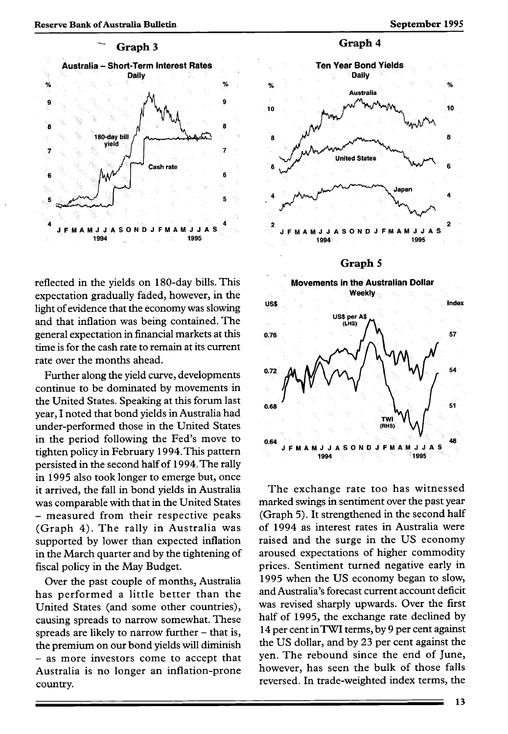

reflected in the yields on 180-day bills. This expectation gradually faded, however, in the light of evidence that the economy was slowing and that inflation was being contained. The general expectation in financial markets at this time is for the cash rate to remain at its current rate over the months ahead.

Further along the yield curve, developments continue to be dominated by movements in the United States. Speaking at this forum last year, I noted that bond yields in Australia had under-performed those in the United States in the period following the Fed's move to tighten policy in February 1994.This pattern persisted in the second half of 1994.The rally in 1995 also took longer to emerge but, once it arrived, the fall in bond yields in Australia was comparable with that in the United States - measured from their respective peaks (Graph 4). The rally in Australia was supported by lower than expected inflation in the March quarter and by the tightening of fiscal policy in the May Budget.

Over the past couple of months, Australia has performed a little better than the United States (and some other countries), causing spreads to narrow somewhat. These spreads are likely to narrow further  $-$  that is, the premium on our bond yields will diminish - as more investors come to accept that Australia is no longer an inflation-prone country.



The exchange rate too has witnessed marked swings in sentiment over the past year (Graph 5). It strengthened in the second half of 1994 as interest rates in Australia were raised and the surge in the US economy aroused expectations of higher commodity prices. Sentiment turned negative early in 1995 when the US economy began to slow, and Australia's forecast current account deficit was revised sharply upwards. Over the first half of 1995, the exchange rate declined by 14 per cent inTWI terms, by 9 per cent against the US dollar, and by 23 per cent against the yen. The rebound since the end of June, however, has seen the bulk of those falls reversed. In trade-weighted index terms, the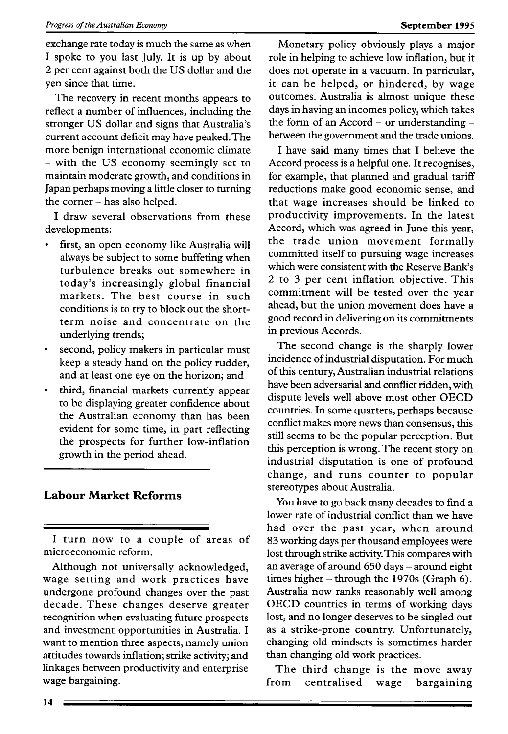exchange rate today is much the same as when I spoke to you last July. It is up by about 2 per cent against both the US dollar and the yen since that time.

The recovery in recent months appears to reflect a number of influences, including the stronger US dollar and signs that Australia's current account deficit may have peaked.The more benign international economic climate - with the US economy seemingly set to maintain moderate growth, and conditions in Japan perhaps moving a little closer to turning the corner - has also helped.

I draw several observations from these developments:

- first, an open economy like Australia will always be subject to some buffeting when turbulence breaks out somewhere in today's increasingly global financial markets. The best course in such conditions is to try to block out the shortterm noise and concentrate on the underlying trends;
- second, policy makers in particular must keep a steady hand on the policy rudder, and at least one eye on the horizon; and
- third, financial markets currently appear to be displaying greater confidence about the Australian economy than has been evident for some time, in part reflecting the prospects for further low-inflation growth in the period ahead.

# **Labour Market Reforms**

I turn now to a couple of areas of microeconomic reform.

Although not universally acknowledged, wage setting and work practices have undergone profound changes over the past decade. These changes deserve greater recognition when evaluating future prospects and investment opportunities in Australia. I want to mention three aspects, namely union attitudes towards inflation; strike activity; and linkages between productivity and enterprise wage bargaining.

Monetary policy obviously plays a major role in helping to achieve low inflation, but it does not operate in a vacuum. In particular, it can be helped, or hindered, by wage outcomes. Australia is almost unique these days in having an incomes policy, which takes the form of an Accord - or understanding between the government and the trade unions.

I have said many times that I believe the Accord process is a helpful one. It recognises, for example, that planned and gradual tariff reductions make good economic sense, and that wage increases should be linked to productivity improvements. In the latest Accord, which was agreed in June this year, the trade union movement formally committed itself to pursuing wage increases which were consistent with the Reserve Bank's 2 to 3 per cent inflation objective. This commitment will be tested over the year ahead, but the union movement does have a good record in delivering on its commitments in previous Accords.

The second change is the sharply lower incidence of industrial disputation. For much of this century, Australian industrial relations have been adversarial and conflict ridden, with dispute levels well above most other OECD countries. In some quarters, perhaps because conflict makes more news than consensus, this still seems to be the popular perception. But this perception is wrong. The recent story on industrial disputation is one of profound change, and runs counter to popular stereotypes about Australia.

You have to go back many decades to find a lower rate of industrial conflict than we have had over the past year, when around 83 working days per thousand employees were lost through strike activity. This compares with an average of around 650 days - around eight times higher - through the 1970s (Graph 6). Australia now ranks reasonably well among OECD countries in terms of working days lost, and no longer deserves to be singled out as a strike-prone country. Unfortunately, changing old mindsets is sometimes harder than changing old work practices.

The third change is the move away from centralised wage bargaining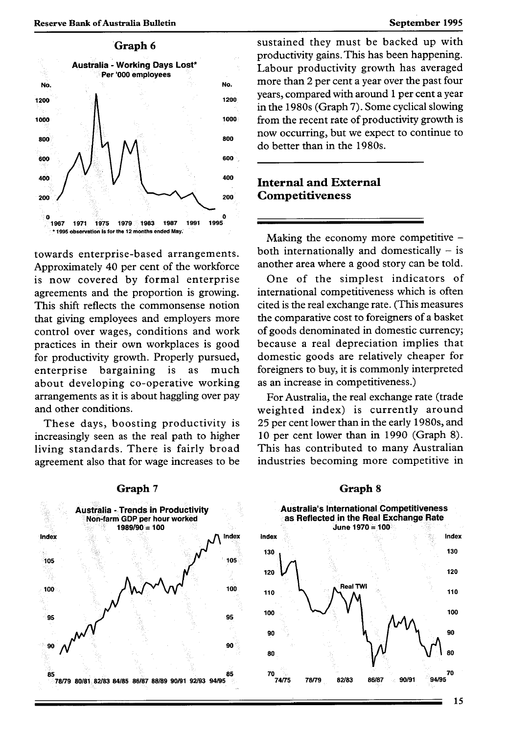

towards enterprise-based arrangements. Approximately 40 per cent of the workforce is now covered by formal enterprise agreements and the proportion is growing. This shift reflects the commonsense notion that giving employees and employers more control over wages, conditions and work practices in their own workplaces is good for productivity growth. Properly pursued, enterprise bargaining is as much about developing co-operative working arrangements as it is about haggling over pay and other conditions.

These days, boosting productivity is increasingly seen as the real path to higher living standards. There is fairly broad agreement also that for wage increases to be

sustained they must be backed up with productivity gains. This has been happening. Labour productivity growth has averaged No. **No.** more than 2 per cent a year over the past four years, compared with around 1 per cent a year in the 1980s (Graph 7). Some cyclical slowing **1000** from the recent rate of productivity growth is now occurring, but we expect to continue to do better than in the 1980s.

# <sup>400</sup> Internal and External **200 Competitiveness**

Making the economy more competitive  $$ both internationally and domestically  $-$  is another area where a good story can be told.

One of the simplest indicators of international competitiveness which is often cited is the real exchange rate. (This measures the comparative cost to foreigners of a basket of goods denominated in domestic currency; because a real depreciation implies that domestic goods are relatively cheaper for foreigners to buy, it is commonly interpreted as an increase in competitiveness.)

For Australia, the real exchange rate (trade weighted index) is currently around 25 per cent lower than in the early 1980s, and 10 per cent lower than in 1990 (Graph 8). This has contributed to many Australian industries becoming more competitive in



#### **Graph** 7

#### 15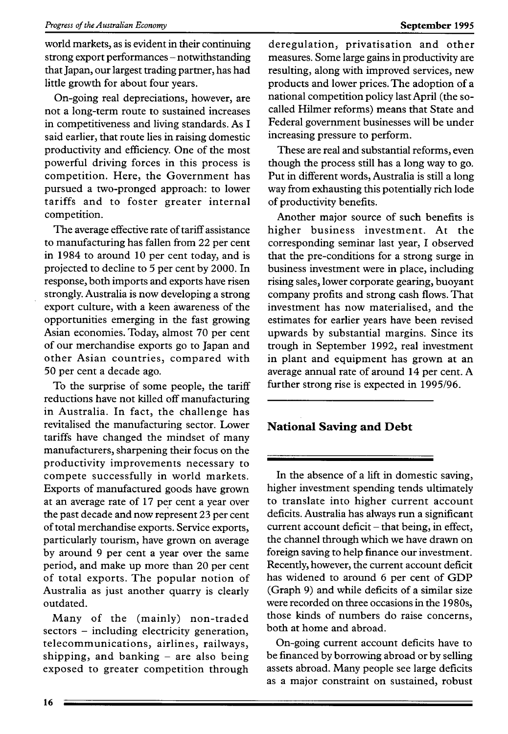world markets, as is evident in their continuing strong export performances - notwithstanding that Japan, our largest trading partner, has had little growth for about four years.

On-going real depreciations, however, are not a long-term route to sustained increases in competitiveness and living standards. As I said earlier, that route lies in raising domestic productivity and efficiency. One of the most powerful driving forces in this process is competition. Here, the Government has pursued a two-pronged approach: to lower tariffs and to foster greater internal competition.

The average effective rate of tariff assistance to manufacturing has fallen from 22 per cent in 1984 to around 10 per cent today, and is projected to decline to 5 per cent by 2000. In response, both imports and exports have risen strongly. Australia is now developing a strong export culture, with a keen awareness of the opportunities emerging in the fast growing Asian economies. Today, almost 70 per cent of our merchandise exports go to Japan and other Asian countries, compared with 50 per cent a decade ago.

To the surprise of some people, the tariff reductions have not killed off manufacturing in Australia. In fact, the challenge has revitalised the manufacturing sector. Lower tariffs have changed the mindset of many manufacturers, sharpening their focus on the productivity improvements necessary to compete successfully in world markets. Exports of manufactured goods have grown at an average rate of 17 per cent a year over the past decade and now represent 23 per cent of total merchandise exports. Service exports, particularly tourism, have grown on average by around 9 per cent a year over the same period, and make up more than 20 per cent of total exports. The popular notion of Australia as just another quarry is clearly outdated.

Many of the (mainly) non-traded sectors – including electricity generation, telecommunications, airlines, railways, shipping, and banking  $-$  are also being exposed to greater competition through deregulation, privatisation and other measures. Some large gains in productivity are resulting, along with improved services, new products and lower prices. The adoption of a national competition policy last April (the socalled Hilmer reforms) means that State and Federal government businesses will be under increasing pressure to perform.

These are real and substantial reforms, even though the process still has a long way to go. Put in different words, Australia is still a long way from exhausting this potentially rich lode of productivity benefits.

Another major source of such benefits is higher business investment. At the corresponding seminar last year, *I* observed that the pre-conditions for a strong surge in business investment were in place, including rising sales, lower corporate gearing, buoyant company profits and strong cash flows. That investment has now materialised, and the estimates for earlier years have been revised upwards by substantial margins. Since its trough in September 1992, real investment in plant and equipment has grown at an average annual rate of around 14 per cent. A further strong rise is expected in 1995/96.

# **National Saving and Debt**

In the absence of a lift in domestic saving, higher investment spending tends ultimately to translate into higher current account deficits. Australia has always run a significant current account deficit  $-$  that being, in effect, the channel through which we have drawn on foreign saving to help finance our investment. Recently, however, the current account deficit has widened to around 6 per cent of GDP (Graph 9) and while deficits of a similar size were recorded on three occasions in the 1980s, those kinds of numbers do raise concerns, both at home and abroad.

On-going current account deficits have to be financed by borrowing abroad or by selling assets abroad. Many people see large deficits as a major constraint on sustained, robust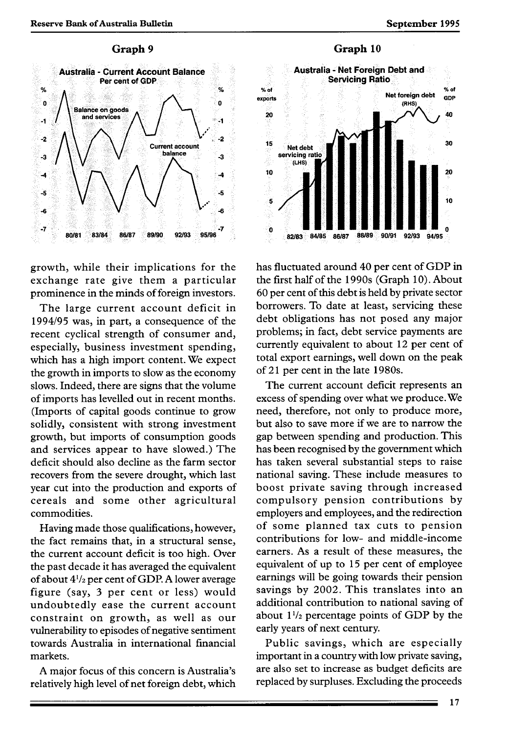

growth, while their implications for the exchange rate give them a particular prominence in the minds of foreign investors.

The large current account deficit in 1994/95 was, in part, a consequence of the recent cyclical strength of consumer and, especially, business investment spending, which has a high import content. We expect the growth in imports to slow as the economy slows. Indeed, there are signs that the volume of imports has levelled out in recent months. (Imports of capital goods continue to grow solidly, consistent with strong investment growth, but imports of consumption goods and services appear to have slowed.) The deficit should also decline as the farm sector recovers from the severe drought, which last year cut into the production and exports of cereals and some other agricultural commodities.

Having made those qualifications, however, the fact remains that, in a structural sense, the current account deficit is too high. Over the past decade it has averaged the equivalent of about 4'/2 per cent of GDP. A lower average figure (say, 3 per cent or less) would undoubtedly ease the current account constraint on growth, as well as our vulnerability to episodes of negative sentiment towards Australia in international financial markets.

A major focus of this concern is Australia's relatively high level of net foreign debt, which



**Graph 10** 



has fluctuated around 40 per cent of GDP in the first half of the 1990s (Graph 10). About 60 per cent of this debt is held by private sector borrowers. To date at least, servicing these debt obligations has not posed any major problems; in fact, debt service payments are currently equivalent to about 12 per cent of total export earnings, well down on the peak of 21 per cent in the late 1980s.

The current account deficit represents an excess of spending over what we produce. We need, therefore, not only to produce more, but also to save more if we are to narrow the gap between spending and production. This has been recognised by the government which has taken several substantial steps to raise national saving. These include measures to boost private saving through increased compulsory pension contributions by employers and employees, and the redirection of some planned tax cuts to pension contributions for low- and middle-income earners. As a result of these measures, the equivalent of up to 15 per cent of employee earnings will be going towards their pension savings by 2002. This translates into an additional contribution to national saving of about  $1\frac{1}{2}$  percentage points of GDP by the early years of next century.

Public savings, which are especially important in a country with low private saving, are also set to increase as budget deficits are replaced by surpluses. Excluding the proceeds